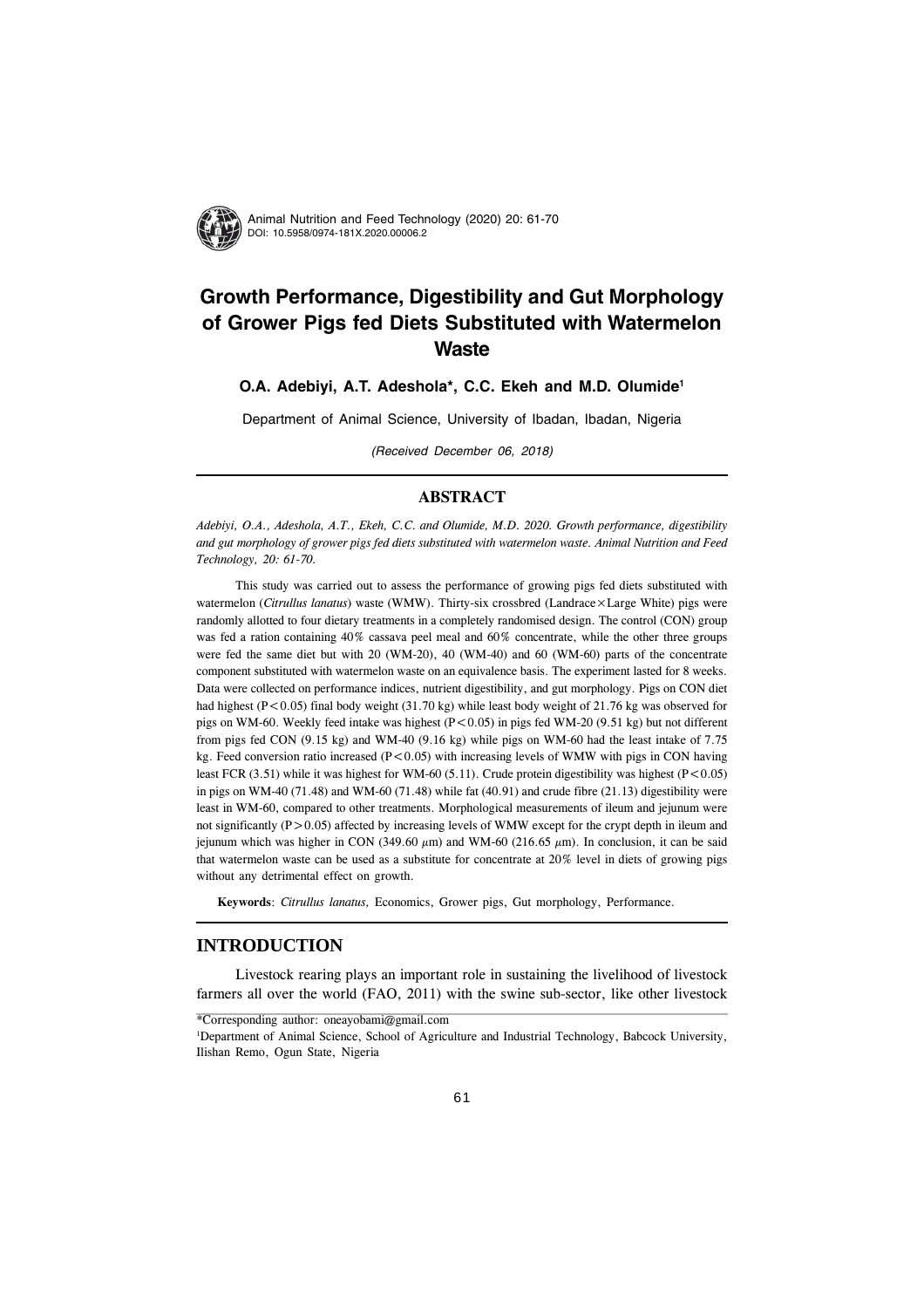

# **Growth Performance, Digestibility and Gut Morphology of Grower Pigs fed Diets Substituted with Watermelon Waste**

# **O.A. Adebiyi, A.T. Adeshola\*, C.C. Ekeh and M.D. Olumide1**

Department of Animal Science, University of Ibadan, Ibadan, Nigeria

(Received December 06, 2018)

# **ABSTRACT**

*Adebiyi, O.A., Adeshola, A.T., Ekeh, C.C. and Olumide, M.D. 2020. Growth performance, digestibility and gut morphology of grower pigs fed diets substituted with watermelon waste. Animal Nutrition and Feed Technology, 20: 61-70.*

This study was carried out to assess the performance of growing pigs fed diets substituted with watermelon (*Citrullus lanatus*) waste (WMW). Thirty-six crossbred (Landrace×Large White) pigs were randomly allotted to four dietary treatments in a completely randomised design. The control (CON) group was fed a ration containing 40% cassava peel meal and 60% concentrate, while the other three groups were fed the same diet but with 20 (WM-20), 40 (WM-40) and 60 (WM-60) parts of the concentrate component substituted with watermelon waste on an equivalence basis. The experiment lasted for 8 weeks. Data were collected on performance indices, nutrient digestibility, and gut morphology. Pigs on CON diet had highest  $(P<0.05)$  final body weight (31.70 kg) while least body weight of 21.76 kg was observed for pigs on WM-60. Weekly feed intake was highest (P<0.05) in pigs fed WM-20 (9.51 kg) but not different from pigs fed CON (9.15 kg) and WM-40 (9.16 kg) while pigs on WM-60 had the least intake of 7.75 kg. Feed conversion ratio increased  $(P<0.05)$  with increasing levels of WMW with pigs in CON having least FCR (3.51) while it was highest for WM-60 (5.11). Crude protein digestibility was highest (P<0.05) in pigs on WM-40 (71.48) and WM-60 (71.48) while fat (40.91) and crude fibre (21.13) digestibility were least in WM-60, compared to other treatments. Morphological measurements of ileum and jejunum were not significantly  $(P>0.05)$  affected by increasing levels of WMW except for the crypt depth in ileum and jejunum which was higher in CON (349.60  $\mu$ m) and WM-60 (216.65  $\mu$ m). In conclusion, it can be said that watermelon waste can be used as a substitute for concentrate at 20% level in diets of growing pigs without any detrimental effect on growth.

**Keywords**: *Citrullus lanatus,* Economics, Grower pigs, Gut morphology, Performance.

# **INTRODUCTION**

Livestock rearing plays an important role in sustaining the livelihood of livestock farmers all over the world (FAO, 2011) with the swine sub-sector, like other livestock

<sup>\*</sup>Corresponding author: oneayobami@gmail.com

<sup>&</sup>lt;sup>1</sup>Department of Animal Science, School of Agriculture and Industrial Technology, Babcock University, Ilishan Remo, Ogun State, Nigeria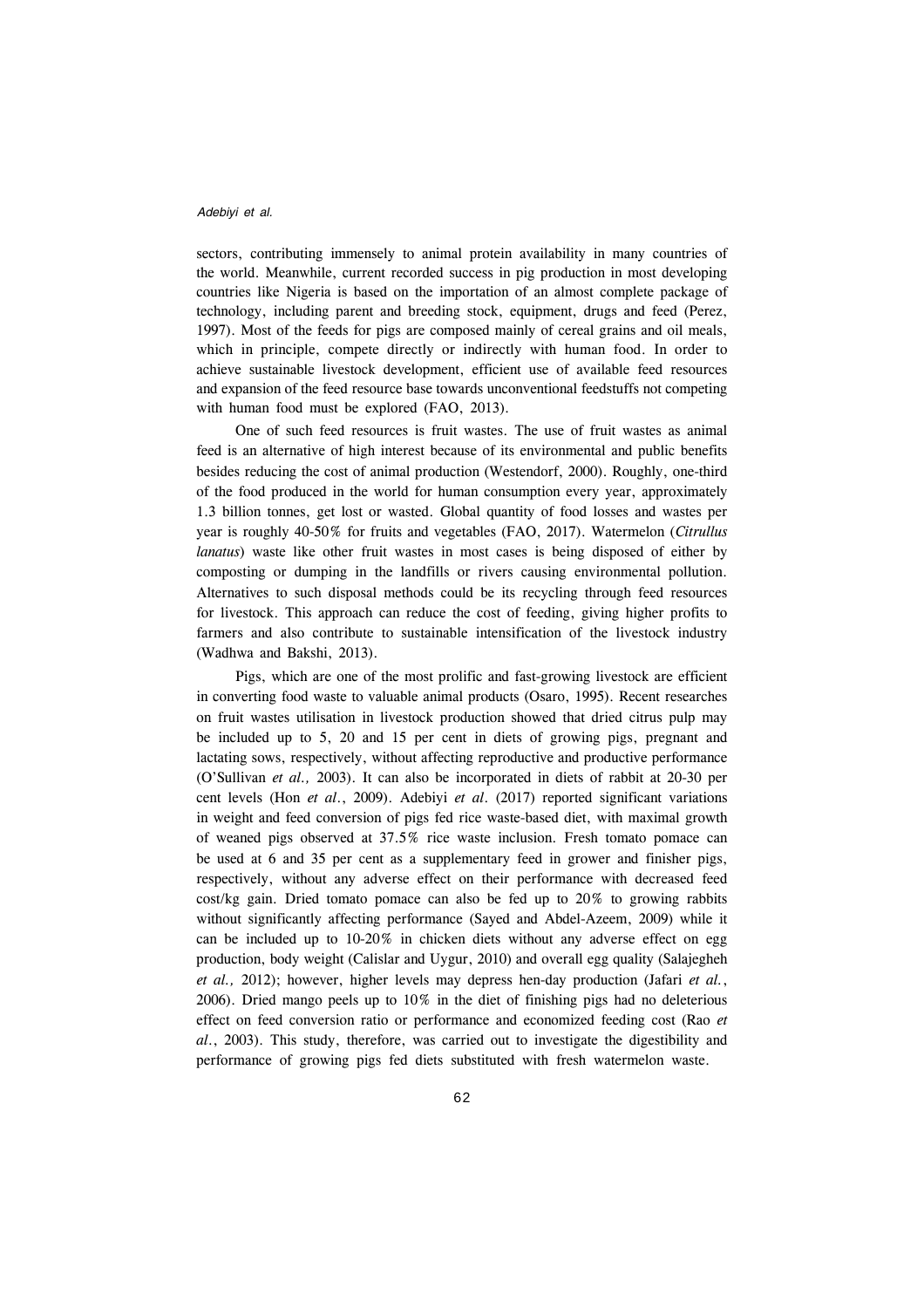sectors, contributing immensely to animal protein availability in many countries of the world. Meanwhile, current recorded success in pig production in most developing countries like Nigeria is based on the importation of an almost complete package of technology, including parent and breeding stock, equipment, drugs and feed (Perez, 1997). Most of the feeds for pigs are composed mainly of cereal grains and oil meals, which in principle, compete directly or indirectly with human food. In order to achieve sustainable livestock development, efficient use of available feed resources and expansion of the feed resource base towards unconventional feedstuffs not competing with human food must be explored (FAO, 2013).

One of such feed resources is fruit wastes. The use of fruit wastes as animal feed is an alternative of high interest because of its environmental and public benefits besides reducing the cost of animal production (Westendorf, 2000). Roughly, one-third of the food produced in the world for human consumption every year, approximately 1.3 billion tonnes, get lost or wasted. Global quantity of food losses and wastes per year is roughly 40-50% for fruits and vegetables (FAO, 2017). Watermelon (*Citrullus lanatus*) waste like other fruit wastes in most cases is being disposed of either by composting or dumping in the landfills or rivers causing environmental pollution. Alternatives to such disposal methods could be its recycling through feed resources for livestock. This approach can reduce the cost of feeding, giving higher profits to farmers and also contribute to sustainable intensification of the livestock industry (Wadhwa and Bakshi, 2013).

Pigs, which are one of the most prolific and fast-growing livestock are efficient in converting food waste to valuable animal products (Osaro, 1995). Recent researches on fruit wastes utilisation in livestock production showed that dried citrus pulp may be included up to 5, 20 and 15 per cent in diets of growing pigs, pregnant and lactating sows, respectively, without affecting reproductive and productive performance (O'Sullivan *et al.,* 2003). It can also be incorporated in diets of rabbit at 20-30 per cent levels (Hon *et al*., 2009). Adebiyi *et al*. (2017) reported significant variations in weight and feed conversion of pigs fed rice waste-based diet, with maximal growth of weaned pigs observed at 37.5% rice waste inclusion. Fresh tomato pomace can be used at 6 and 35 per cent as a supplementary feed in grower and finisher pigs, respectively, without any adverse effect on their performance with decreased feed cost/kg gain. Dried tomato pomace can also be fed up to 20% to growing rabbits without significantly affecting performance (Sayed and Abdel-Azeem, 2009) while it can be included up to 10-20% in chicken diets without any adverse effect on egg production, body weight (Calislar and Uygur, 2010) and overall egg quality (Salajegheh *et al.,* 2012); however, higher levels may depress hen-day production (Jafari *et al.*, 2006). Dried mango peels up to 10% in the diet of finishing pigs had no deleterious effect on feed conversion ratio or performance and economized feeding cost (Rao *et al*., 2003). This study, therefore, was carried out to investigate the digestibility and performance of growing pigs fed diets substituted with fresh watermelon waste.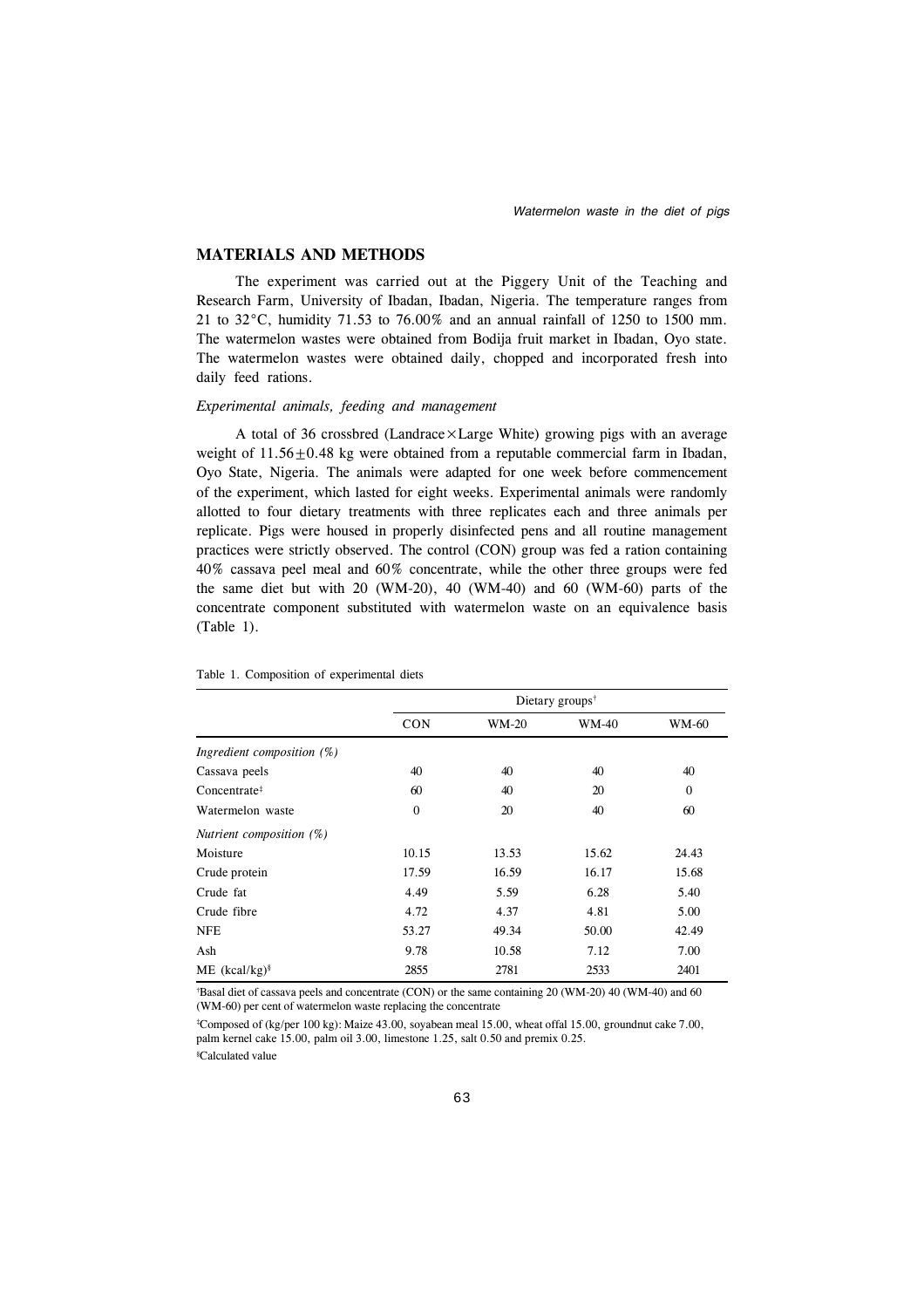# **MATERIALS AND METHODS**

The experiment was carried out at the Piggery Unit of the Teaching and Research Farm, University of Ibadan, Ibadan, Nigeria. The temperature ranges from 21 to 32°C, humidity 71.53 to 76.00% and an annual rainfall of 1250 to 1500 mm. The watermelon wastes were obtained from Bodija fruit market in Ibadan, Oyo state. The watermelon wastes were obtained daily, chopped and incorporated fresh into daily feed rations.

## *Experimental animals, feeding and management*

A total of 36 crossbred (Landrace×Large White) growing pigs with an average weight of  $11.56 \pm 0.48$  kg were obtained from a reputable commercial farm in Ibadan, Oyo State, Nigeria. The animals were adapted for one week before commencement of the experiment, which lasted for eight weeks. Experimental animals were randomly allotted to four dietary treatments with three replicates each and three animals per replicate. Pigs were housed in properly disinfected pens and all routine management practices were strictly observed. The control (CON) group was fed a ration containing 40% cassava peel meal and 60% concentrate, while the other three groups were fed the same diet but with 20 (WM-20), 40 (WM-40) and 60 (WM-60) parts of the concentrate component substituted with watermelon waste on an equivalence basis (Table 1).

|                            | Dietary groups <sup>†</sup> |              |              |                |  |  |  |
|----------------------------|-----------------------------|--------------|--------------|----------------|--|--|--|
|                            | <b>CON</b>                  | <b>WM-20</b> | <b>WM-40</b> | <b>WM-60</b>   |  |  |  |
| Ingredient composition (%) |                             |              |              |                |  |  |  |
| Cassava peels              | 40                          | 40           | 40           | 40             |  |  |  |
| Concentrate <sup>#</sup>   | 60                          | 40           | 20           | $\overline{0}$ |  |  |  |
| Watermelon waste           | $\mathbf{0}$                | 20           | 40           | 60             |  |  |  |
| Nutrient composition (%)   |                             |              |              |                |  |  |  |
| Moisture                   | 10.15                       | 13.53        | 15.62        | 24.43          |  |  |  |
| Crude protein              | 17.59                       | 16.59        | 16.17        | 15.68          |  |  |  |
| Crude fat                  | 4.49                        | 5.59         | 6.28         | 5.40           |  |  |  |
| Crude fibre                | 4.72                        | 4.37         | 4.81         | 5.00           |  |  |  |
| <b>NFE</b>                 | 53.27                       | 49.34        | 50.00        | 42.49          |  |  |  |
| Ash                        | 9.78                        | 10.58        | 7.12         | 7.00           |  |  |  |
| $ME (kcal/kg)^8$           | 2855                        | 2781         | 2533         | 2401           |  |  |  |

#### Table 1. Composition of experimental diets

† Basal diet of cassava peels and concentrate (CON) or the same containing 20 (WM-20) 40 (WM-40) and 60 (WM-60) per cent of watermelon waste replacing the concentrate

‡ Composed of (kg/per 100 kg): Maize 43.00, soyabean meal 15.00, wheat offal 15.00, groundnut cake 7.00, palm kernel cake 15.00, palm oil 3.00, limestone 1.25, salt 0.50 and premix 0.25.

§ Calculated value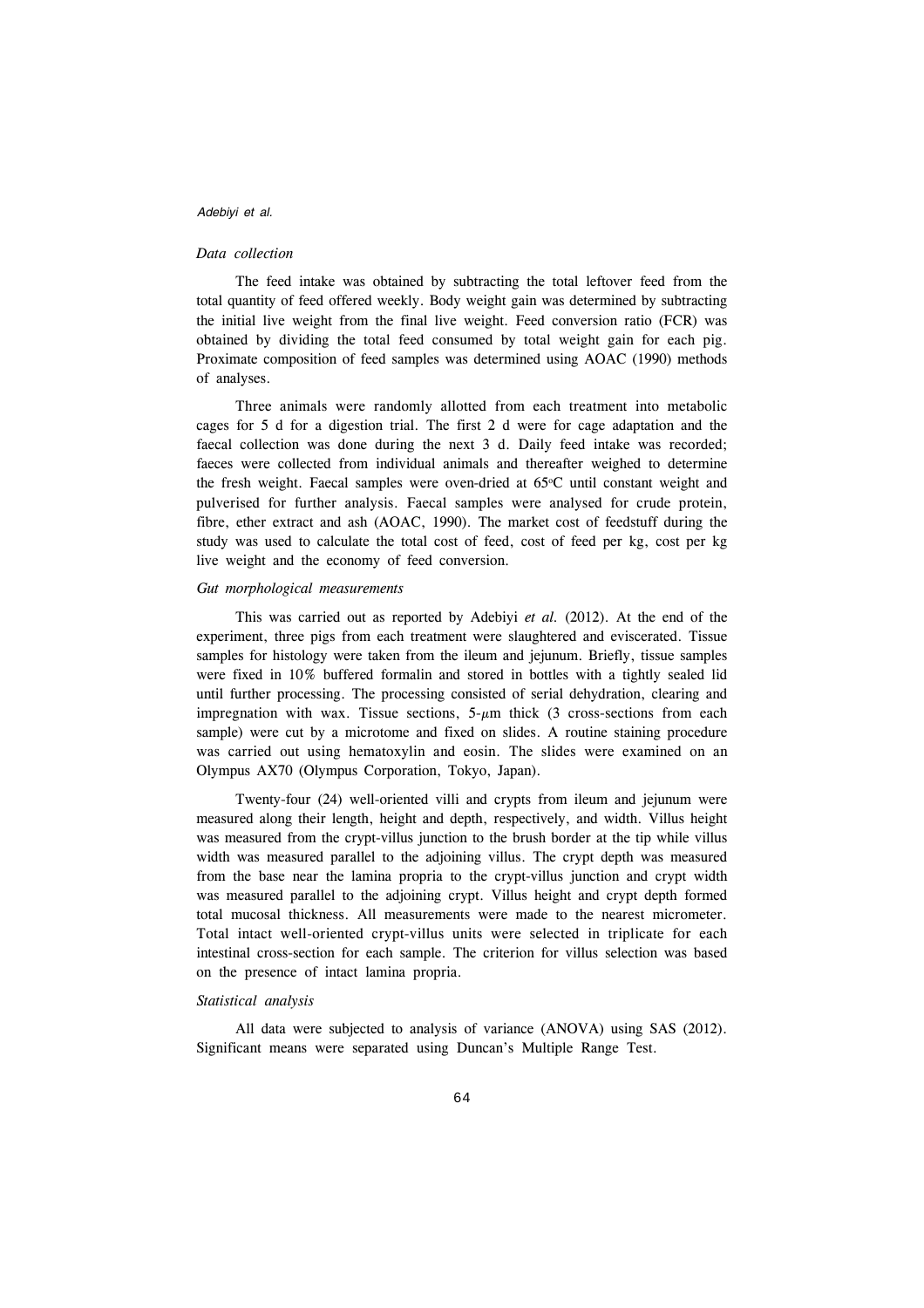#### *Data collection*

The feed intake was obtained by subtracting the total leftover feed from the total quantity of feed offered weekly. Body weight gain was determined by subtracting the initial live weight from the final live weight. Feed conversion ratio (FCR) was obtained by dividing the total feed consumed by total weight gain for each pig. Proximate composition of feed samples was determined using AOAC (1990) methods of analyses.

Three animals were randomly allotted from each treatment into metabolic cages for 5 d for a digestion trial. The first 2 d were for cage adaptation and the faecal collection was done during the next 3 d. Daily feed intake was recorded; faeces were collected from individual animals and thereafter weighed to determine the fresh weight. Faecal samples were oven-dried at  $65^{\circ}$ C until constant weight and pulverised for further analysis. Faecal samples were analysed for crude protein, fibre, ether extract and ash (AOAC, 1990). The market cost of feedstuff during the study was used to calculate the total cost of feed, cost of feed per kg, cost per kg live weight and the economy of feed conversion.

## *Gut morphological measurements*

This was carried out as reported by Adebiyi *et al.* (2012). At the end of the experiment, three pigs from each treatment were slaughtered and eviscerated. Tissue samples for histology were taken from the ileum and jejunum. Briefly, tissue samples were fixed in 10% buffered formalin and stored in bottles with a tightly sealed lid until further processing. The processing consisted of serial dehydration, clearing and impregnation with wax. Tissue sections,  $5-\mu m$  thick (3 cross-sections from each sample) were cut by a microtome and fixed on slides. A routine staining procedure was carried out using hematoxylin and eosin. The slides were examined on an Olympus AX70 (Olympus Corporation, Tokyo, Japan).

Twenty-four (24) well-oriented villi and crypts from ileum and jejunum were measured along their length, height and depth, respectively, and width. Villus height was measured from the crypt-villus junction to the brush border at the tip while villus width was measured parallel to the adjoining villus. The crypt depth was measured from the base near the lamina propria to the crypt-villus junction and crypt width was measured parallel to the adjoining crypt. Villus height and crypt depth formed total mucosal thickness. All measurements were made to the nearest micrometer. Total intact well-oriented crypt-villus units were selected in triplicate for each intestinal cross-section for each sample. The criterion for villus selection was based on the presence of intact lamina propria.

### *Statistical analysis*

All data were subjected to analysis of variance (ANOVA) using SAS (2012). Significant means were separated using Duncan's Multiple Range Test.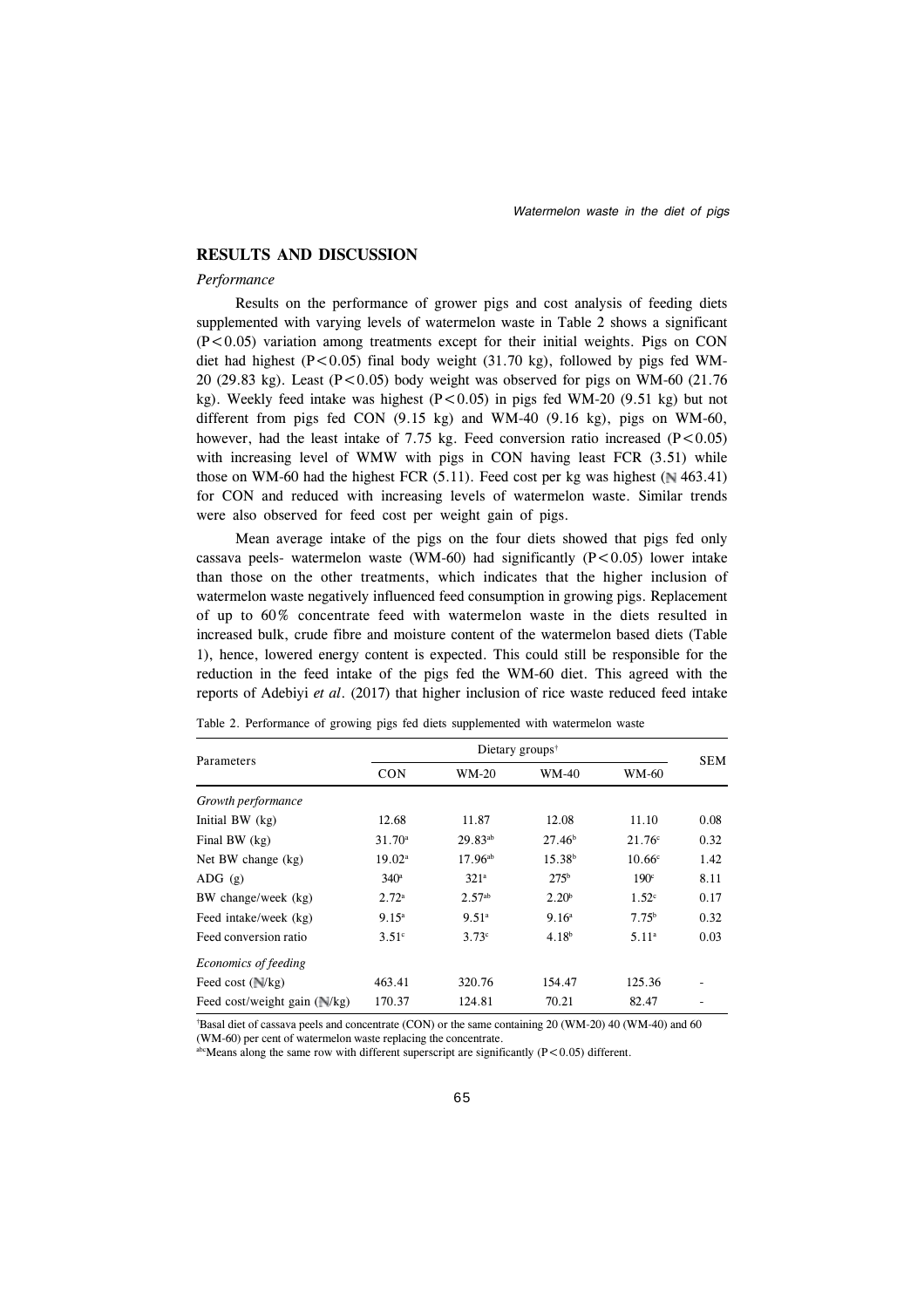## **RESULTS AND DISCUSSION**

#### *Performance*

Results on the performance of grower pigs and cost analysis of feeding diets supplemented with varying levels of watermelon waste in Table 2 shows a significant  $(P<0.05)$  variation among treatments except for their initial weights. Pigs on CON diet had highest ( $P < 0.05$ ) final body weight (31.70 kg), followed by pigs fed WM-20 (29.83 kg). Least ( $P < 0.05$ ) body weight was observed for pigs on WM-60 (21.76 kg). Weekly feed intake was highest  $(P<0.05)$  in pigs fed WM-20 (9.51 kg) but not different from pigs fed CON  $(9.15 \text{ kg})$  and WM-40  $(9.16 \text{ kg})$ , pigs on WM-60, however, had the least intake of 7.75 kg. Feed conversion ratio increased  $(P<0.05)$ with increasing level of WMW with pigs in CON having least FCR (3.51) while those on WM-60 had the highest FCR  $(5.11)$ . Feed cost per kg was highest ( $\sqrt{463.41}$ ) for CON and reduced with increasing levels of watermelon waste. Similar trends were also observed for feed cost per weight gain of pigs.

Mean average intake of the pigs on the four diets showed that pigs fed only cassava peels- watermelon waste (WM-60) had significantly  $(P<0.05)$  lower intake than those on the other treatments, which indicates that the higher inclusion of watermelon waste negatively influenced feed consumption in growing pigs. Replacement of up to 60% concentrate feed with watermelon waste in the diets resulted in increased bulk, crude fibre and moisture content of the watermelon based diets (Table 1), hence, lowered energy content is expected. This could still be responsible for the reduction in the feed intake of the pigs fed the WM-60 diet. This agreed with the reports of Adebiyi *et al*. (2017) that higher inclusion of rice waste reduced feed intake

|                                     | Dietary groups <sup>†</sup> |                    |                    |                    |            |  |  |  |
|-------------------------------------|-----------------------------|--------------------|--------------------|--------------------|------------|--|--|--|
| Parameters                          | <b>CON</b>                  | WM-20              | <b>WM-40</b>       | WM-60              | <b>SEM</b> |  |  |  |
| Growth performance                  |                             |                    |                    |                    |            |  |  |  |
| Initial BW $(kg)$                   | 12.68                       | 11.87              | 12.08              | 11.10              | 0.08       |  |  |  |
| Final BW (kg)                       | $31.70^a$                   | 29.83ab            | $27.46^b$          | $21.76^{\circ}$    | 0.32       |  |  |  |
| Net BW change (kg)                  | 19.02 <sup>a</sup>          | $17.96^{ab}$       | 15.38 <sup>b</sup> | 10.66 <sup>c</sup> | 1.42       |  |  |  |
| $ADG$ (g)                           | $340^{\circ}$               | 321 <sup>a</sup>   | 275 <sup>b</sup>   | 190 <sup>c</sup>   | 8.11       |  |  |  |
| BW change/week (kg)                 | 2.72 <sup>a</sup>           | 2.57 <sup>ab</sup> | 2.20 <sup>b</sup>  | 1.52 <sup>c</sup>  | 0.17       |  |  |  |
| Feed intake/week (kg)               | 9.15 <sup>a</sup>           | 9.51 <sup>a</sup>  | 9.16 <sup>a</sup>  | 7.75 <sup>b</sup>  | 0.32       |  |  |  |
| Feed conversion ratio               | 3.51 <sup>c</sup>           | 3.73c              | 4.18 <sup>b</sup>  | 5.11 <sup>a</sup>  | 0.03       |  |  |  |
| Economics of feeding                |                             |                    |                    |                    |            |  |  |  |
| Feed cost $(\sqrt{k}g)$             | 463.41                      | 320.76             | 154.47             | 125.36             |            |  |  |  |
| Feed cost/weight gain $(\sqrt{k}g)$ | 170.37                      | 124.81             | 70.21              | 82.47              |            |  |  |  |

Table 2. Performance of growing pigs fed diets supplemented with watermelon waste

† Basal diet of cassava peels and concentrate (CON) or the same containing 20 (WM-20) 40 (WM-40) and 60

(WM-60) per cent of watermelon waste replacing the concentrate.

abcMeans along the same row with different superscript are significantly ( $P < 0.05$ ) different.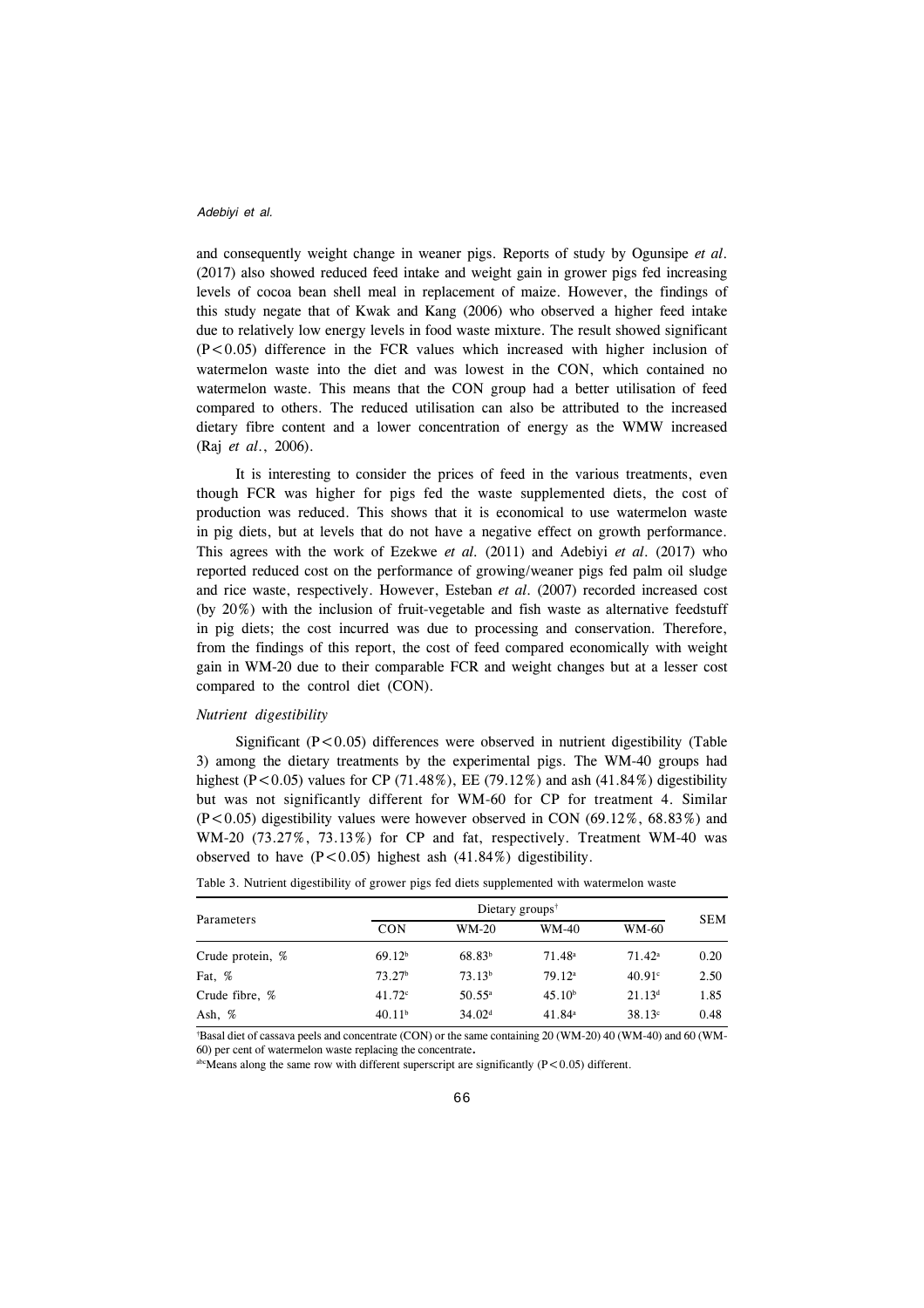and consequently weight change in weaner pigs. Reports of study by Ogunsipe *et al*. (2017) also showed reduced feed intake and weight gain in grower pigs fed increasing levels of cocoa bean shell meal in replacement of maize. However, the findings of this study negate that of Kwak and Kang (2006) who observed a higher feed intake due to relatively low energy levels in food waste mixture. The result showed significant  $(P<0.05)$  difference in the FCR values which increased with higher inclusion of watermelon waste into the diet and was lowest in the CON, which contained no watermelon waste. This means that the CON group had a better utilisation of feed compared to others. The reduced utilisation can also be attributed to the increased dietary fibre content and a lower concentration of energy as the WMW increased (Raj *et al*., 2006).

It is interesting to consider the prices of feed in the various treatments, even though FCR was higher for pigs fed the waste supplemented diets, the cost of production was reduced. This shows that it is economical to use watermelon waste in pig diets, but at levels that do not have a negative effect on growth performance. This agrees with the work of Ezekwe *et al.* (2011) and Adebiyi *et al*. (2017) who reported reduced cost on the performance of growing/weaner pigs fed palm oil sludge and rice waste, respectively. However, Esteban *et al*. (2007) recorded increased cost (by 20%) with the inclusion of fruit-vegetable and fish waste as alternative feedstuff in pig diets; the cost incurred was due to processing and conservation. Therefore, from the findings of this report, the cost of feed compared economically with weight gain in WM-20 due to their comparable FCR and weight changes but at a lesser cost compared to the control diet (CON).

#### *Nutrient digestibility*

Significant  $(P<0.05)$  differences were observed in nutrient digestibility (Table 3) among the dietary treatments by the experimental pigs. The WM-40 groups had highest (P<0.05) values for CP (71.48%), EE (79.12%) and ash (41.84%) digestibility but was not significantly different for WM-60 for CP for treatment 4. Similar  $(P<0.05)$  digestibility values were however observed in CON (69.12%, 68.83%) and WM-20 (73.27%, 73.13%) for CP and fat, respectively. Treatment WM-40 was observed to have  $(P<0.05)$  highest ash  $(41.84\%)$  digestibility.

| Parameters       | Dietary groups <sup>†</sup> |                    |                    |               |            |  |  |  |
|------------------|-----------------------------|--------------------|--------------------|---------------|------------|--|--|--|
|                  | <b>CON</b>                  | WM-20              | WM-40              | WM-60         | <b>SEM</b> |  |  |  |
| Crude protein, % | 69.12 <sup>b</sup>          | $68.83^{b}$        | $71.48^a$          | $71.42^a$     | 0.20       |  |  |  |
| Fat, %           | 73.27 <sup>b</sup>          | 73.13 <sup>b</sup> | 79.12 <sup>a</sup> | $40.91^\circ$ | 2.50       |  |  |  |
| Crude fibre, %   | $41.72^{\circ}$             | $50.55^{\circ}$    | 45.10 <sup>b</sup> | $21.13^{d}$   | 1.85       |  |  |  |
| Ash, $%$         | 40.11 <sup>b</sup>          | 34.02 <sup>d</sup> | 41.84 <sup>a</sup> | $38.13^c$     | 0.48       |  |  |  |

|  |  |  |  | Table 3. Nutrient digestibility of grower pigs fed diets supplemented with watermelon waste |  |  |
|--|--|--|--|---------------------------------------------------------------------------------------------|--|--|
|  |  |  |  |                                                                                             |  |  |

† Basal diet of cassava peels and concentrate (CON) or the same containing 20 (WM-20) 40 (WM-40) and 60 (WM-60) per cent of watermelon waste replacing the concentrate**.**

abcMeans along the same row with different superscript are significantly  $(P<0.05)$  different.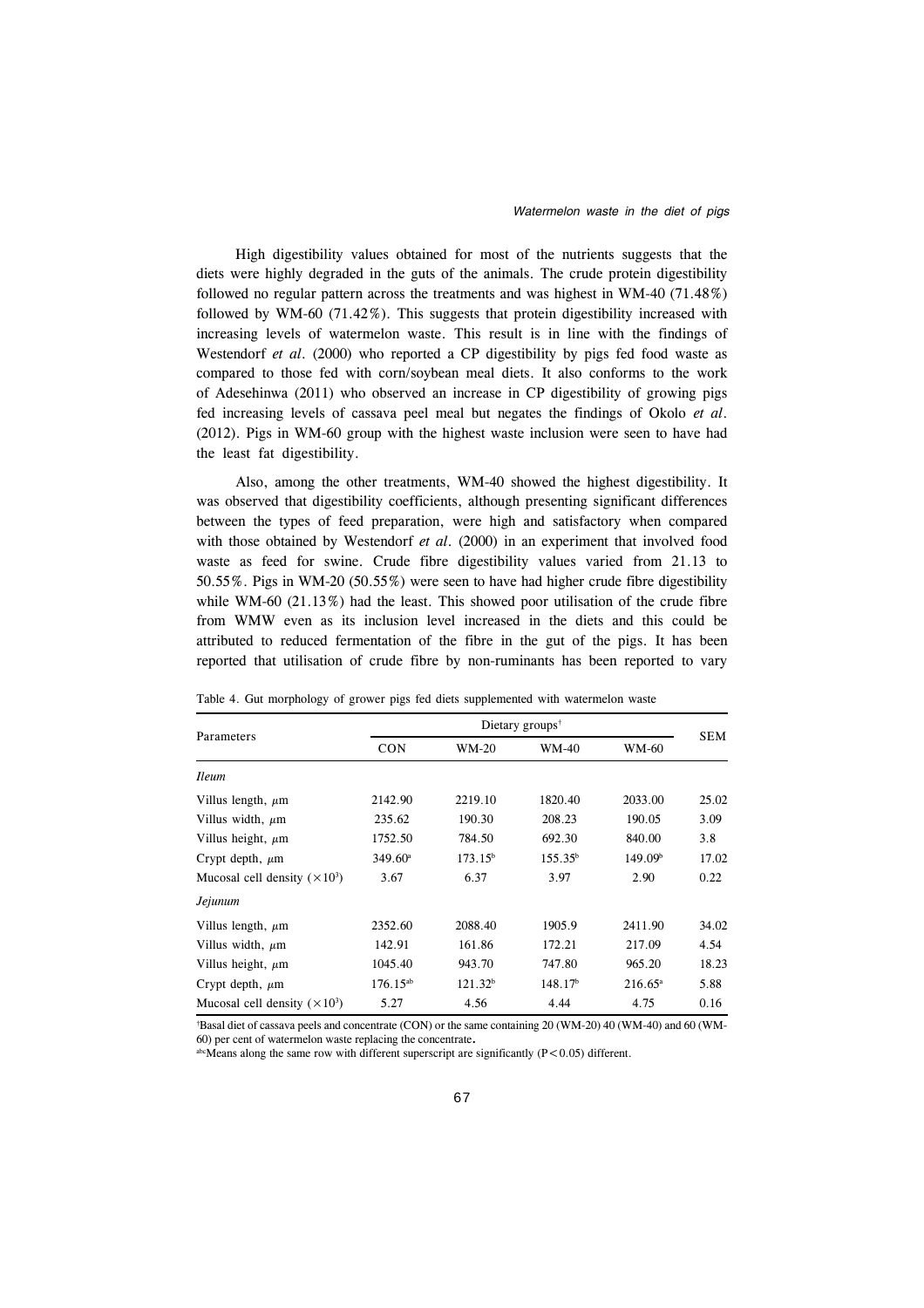High digestibility values obtained for most of the nutrients suggests that the diets were highly degraded in the guts of the animals. The crude protein digestibility followed no regular pattern across the treatments and was highest in WM-40 (71.48%) followed by WM-60 (71.42%). This suggests that protein digestibility increased with increasing levels of watermelon waste. This result is in line with the findings of Westendorf *et al*. (2000) who reported a CP digestibility by pigs fed food waste as compared to those fed with corn/soybean meal diets. It also conforms to the work of Adesehinwa (2011) who observed an increase in CP digestibility of growing pigs fed increasing levels of cassava peel meal but negates the findings of Okolo *et al*. (2012). Pigs in WM-60 group with the highest waste inclusion were seen to have had the least fat digestibility.

Also, among the other treatments, WM-40 showed the highest digestibility. It was observed that digestibility coefficients, although presenting significant differences between the types of feed preparation, were high and satisfactory when compared with those obtained by Westendorf *et al*. (2000) in an experiment that involved food waste as feed for swine. Crude fibre digestibility values varied from 21.13 to 50.55%. Pigs in WM-20 (50.55%) were seen to have had higher crude fibre digestibility while WM-60  $(21.13\%)$  had the least. This showed poor utilisation of the crude fibre from WMW even as its inclusion level increased in the diets and this could be attributed to reduced fermentation of the fibre in the gut of the pigs. It has been reported that utilisation of crude fibre by non-ruminants has been reported to vary

|                                      | Dietary groups <sup><math>\dagger</math></sup> |                     |                     |                     |            |  |  |  |
|--------------------------------------|------------------------------------------------|---------------------|---------------------|---------------------|------------|--|--|--|
| Parameters                           | <b>CON</b>                                     | <b>WM-20</b>        | <b>WM-40</b>        | WM-60               | <b>SEM</b> |  |  |  |
| <i>Ileum</i>                         |                                                |                     |                     |                     |            |  |  |  |
| Villus length, $\mu$ m               | 2142.90                                        | 2219.10             | 1820.40             | 2033.00             | 25.02      |  |  |  |
| Villus width, $\mu$ m                | 235.62                                         | 190.30              | 208.23              | 190.05              | 3.09       |  |  |  |
| Villus height, $\mu$ m               | 1752.50                                        | 784.50              | 692.30              | 840.00              | 3.8        |  |  |  |
| Crypt depth, $\mu$ m                 | $349.60^{\circ}$                               | 173.15 <sup>b</sup> | $155.35^b$          | 149.09 <sup>b</sup> | 17.02      |  |  |  |
| Mucosal cell density $(\times 10^3)$ | 3.67                                           | 6.37                | 3.97                | 2.90                | 0.22       |  |  |  |
| Jejunum                              |                                                |                     |                     |                     |            |  |  |  |
| Villus length, $\mu$ m               | 2352.60                                        | 2088.40             | 1905.9              | 2411.90             | 34.02      |  |  |  |
| Villus width, $\mu$ m                | 142.91                                         | 161.86              | 172.21              | 217.09              | 4.54       |  |  |  |
| Villus height, $\mu$ m               | 1045.40                                        | 943.70              | 747.80              | 965.20              | 18.23      |  |  |  |
| Crypt depth, $\mu$ m                 | $176.15^{ab}$                                  | 121.32 <sup>b</sup> | 148.17 <sup>b</sup> | $216.65^{\circ}$    | 5.88       |  |  |  |
| Mucosal cell density $(\times 10^3)$ | 5.27                                           | 4.56                | 4.44                | 4.75                | 0.16       |  |  |  |

† Basal diet of cassava peels and concentrate (CON) or the same containing 20 (WM-20) 40 (WM-40) and 60 (WM-60) per cent of watermelon waste replacing the concentrate**.**

abcMeans along the same row with different superscript are significantly ( $P < 0.05$ ) different.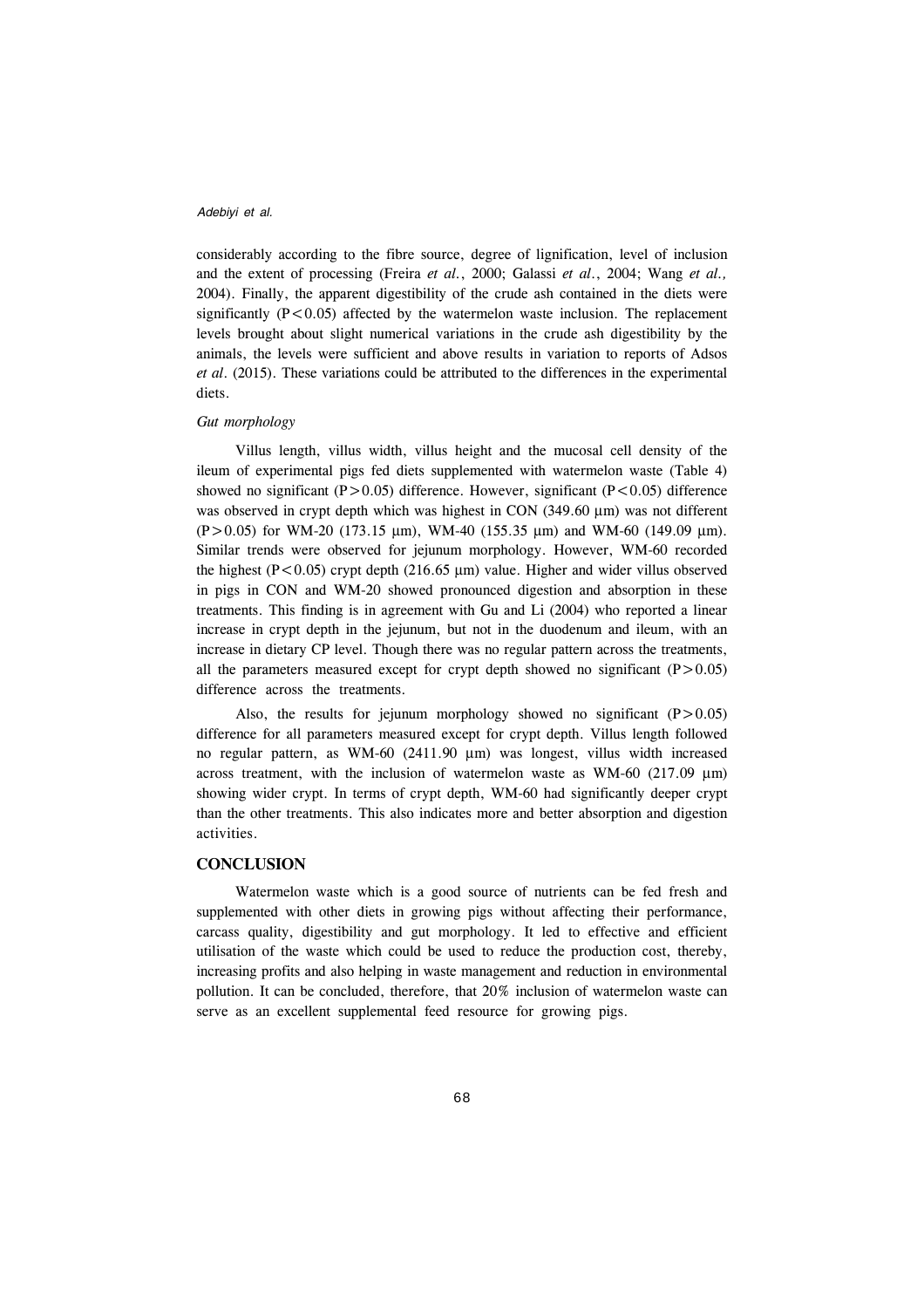considerably according to the fibre source, degree of lignification, level of inclusion and the extent of processing (Freira *et al.*, 2000; Galassi *et al*., 2004; Wang *et al.,* 2004). Finally, the apparent digestibility of the crude ash contained in the diets were significantly  $(P<0.05)$  affected by the watermelon waste inclusion. The replacement levels brought about slight numerical variations in the crude ash digestibility by the animals, the levels were sufficient and above results in variation to reports of Adsos *et al*. (2015). These variations could be attributed to the differences in the experimental diets.

#### *Gut morphology*

Villus length, villus width, villus height and the mucosal cell density of the ileum of experimental pigs fed diets supplemented with watermelon waste (Table 4) showed no significant ( $P > 0.05$ ) difference. However, significant ( $P < 0.05$ ) difference was observed in crypt depth which was highest in CON (349.60 µm) was not different  $(P>0.05)$  for WM-20 (173.15 µm), WM-40 (155.35 µm) and WM-60 (149.09 µm). Similar trends were observed for jejunum morphology. However, WM-60 recorded the highest (P $< 0.05$ ) crypt depth (216.65 µm) value. Higher and wider villus observed in pigs in CON and WM-20 showed pronounced digestion and absorption in these treatments. This finding is in agreement with Gu and Li (2004) who reported a linear increase in crypt depth in the jejunum, but not in the duodenum and ileum, with an increase in dietary CP level. Though there was no regular pattern across the treatments, all the parameters measured except for crypt depth showed no significant  $(P>0.05)$ difference across the treatments.

Also, the results for jejunum morphology showed no significant  $(P>0.05)$ difference for all parameters measured except for crypt depth. Villus length followed no regular pattern, as WM-60 (2411.90 µm) was longest, villus width increased across treatment, with the inclusion of watermelon waste as WM-60 (217.09  $\mu$ m) showing wider crypt. In terms of crypt depth, WM-60 had significantly deeper crypt than the other treatments. This also indicates more and better absorption and digestion activities.

## **CONCLUSION**

Watermelon waste which is a good source of nutrients can be fed fresh and supplemented with other diets in growing pigs without affecting their performance, carcass quality, digestibility and gut morphology. It led to effective and efficient utilisation of the waste which could be used to reduce the production cost, thereby, increasing profits and also helping in waste management and reduction in environmental pollution. It can be concluded, therefore, that 20% inclusion of watermelon waste can serve as an excellent supplemental feed resource for growing pigs.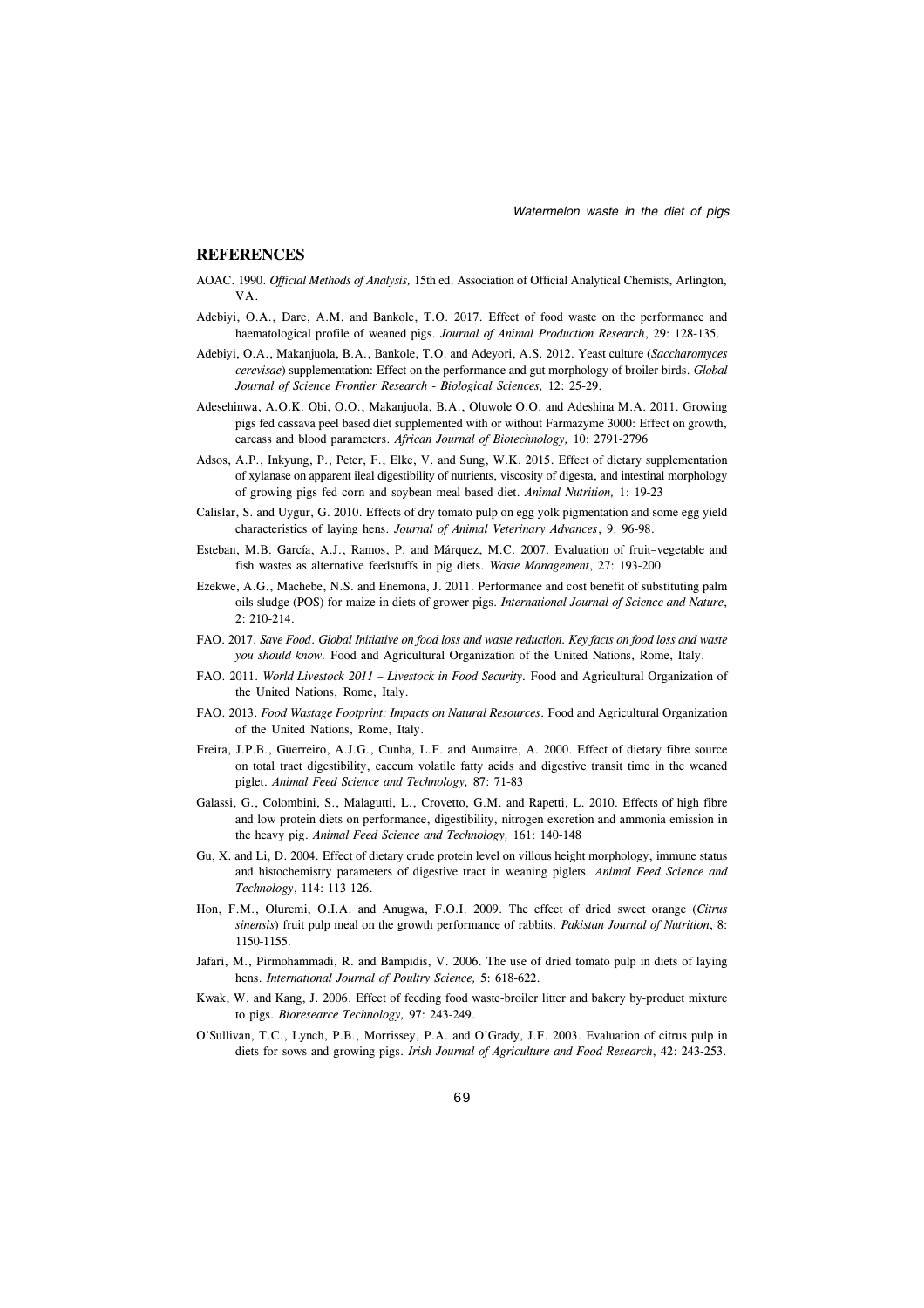#### **REFERENCES**

- AOAC. 1990. *Official Methods of Analysis,* 15th ed. Association of Official Analytical Chemists, Arlington, VA.
- Adebiyi, O.A., Dare, A.M. and Bankole, T.O. 2017. Effect of food waste on the performance and haematological profile of weaned pigs. *Journal of Animal Production Research*, 29: 128-135.
- Adebiyi, O.A., Makanjuola, B.A., Bankole, T.O. and Adeyori, A.S. 2012. Yeast culture (*Saccharomyces cerevisae*) supplementation: Effect on the performance and gut morphology of broiler birds. *Global Journal of Science Frontier Research - Biological Sciences,* 12: 25-29.
- Adesehinwa, A.O.K. Obi, O.O., Makanjuola, B.A., Oluwole O.O. and Adeshina M.A. 2011. Growing pigs fed cassava peel based diet supplemented with or without Farmazyme 3000: Effect on growth, carcass and blood parameters. *African Journal of Biotechnology,* 10: 2791-2796
- Adsos, A.P., Inkyung, P., Peter, F., Elke, V. and Sung, W.K. 2015. Effect of dietary supplementation of xylanase on apparent ileal digestibility of nutrients, viscosity of digesta, and intestinal morphology of growing pigs fed corn and soybean meal based diet. *Animal Nutrition,* 1: 19-23
- Calislar, S. and Uygur, G. 2010. Effects of dry tomato pulp on egg yolk pigmentation and some egg yield characteristics of laying hens. *Journal of Animal Veterinary Advances*, 9: 96-98.
- Esteban, M.B. García, A.J., Ramos, P. and Márquez, M.C. 2007. Evaluation of fruit–vegetable and fish wastes as alternative feedstuffs in pig diets. *Waste Management*, 27: 193-200
- Ezekwe, A.G., Machebe, N.S. and Enemona, J. 2011. Performance and cost benefit of substituting palm oils sludge (POS) for maize in diets of grower pigs. *International Journal of Science and Nature*, 2: 210-214.
- FAO. 2017. *Save Food*. *Global Initiative on food loss and waste reduction. Key facts on food loss and waste you should know.* Food and Agricultural Organization of the United Nations, Rome, Italy.
- FAO. 2011. *World Livestock 2011 Livestock in Food Security.* Food and Agricultural Organization of the United Nations, Rome, Italy.
- FAO. 2013. *Food Wastage Footprint: Impacts on Natural Resources*. Food and Agricultural Organization of the United Nations, Rome, Italy.
- Freira, J.P.B., Guerreiro, A.J.G., Cunha, L.F. and Aumaitre, A. 2000. Effect of dietary fibre source on total tract digestibility, caecum volatile fatty acids and digestive transit time in the weaned piglet. *Animal Feed Science and Technology,* 87: 71-83
- Galassi, G., Colombini, S., Malagutti, L., Crovetto, G.M. and Rapetti, L. 2010. Effects of high fibre and low protein diets on performance, digestibility, nitrogen excretion and ammonia emission in the heavy pig. *Animal Feed Science and Technology,* 161: 140-148
- Gu, X. and Li, D. 2004. Effect of dietary crude protein level on villous height morphology, immune status and histochemistry parameters of digestive tract in weaning piglets. *Animal Feed Science and Technology*, 114: 113-126.
- Hon, F.M., Oluremi, O.I.A. and Anugwa, F.O.I. 2009. The effect of dried sweet orange (*Citrus sinensis*) fruit pulp meal on the growth performance of rabbits. *Pakistan Journal of Nutrition*, 8: 1150-1155.
- Jafari, M., Pirmohammadi, R. and Bampidis, V. 2006. The use of dried tomato pulp in diets of laying hens. *International Journal of Poultry Science,* 5: 618-622.
- Kwak, W. and Kang, J. 2006. Effect of feeding food waste-broiler litter and bakery by-product mixture to pigs. *Bioresearce Technology,* 97: 243-249.
- O'Sullivan, T.C., Lynch, P.B., Morrissey, P.A. and O'Grady, J.F. 2003. Evaluation of citrus pulp in diets for sows and growing pigs. *Irish Journal of Agriculture and Food Research*, 42: 243-253.